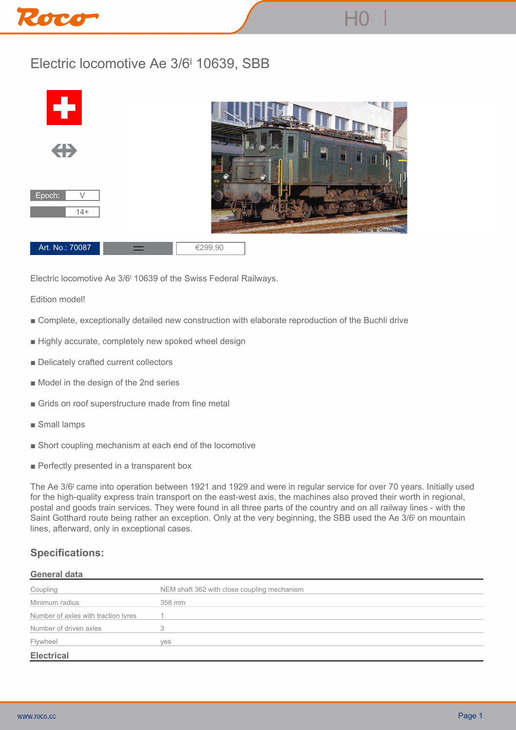# Roco

## **Electric locomotive Ae 3/6ˡ 10639, SBB**



**Electric locomotive Ae 3/6ˡ 10639 of the Swiss Federal Railways.**

**Edition model!**

- **Complete, exceptionally detailed new construction with elaborate reproduction of the Buchli drive**
- **Highly accurate, completely new spoked wheel design**
- **Delicately crafted current collectors**
- **Model in the design of the 2nd series**
- **Grids on roof superstructure made from fine metal**
- **Small lamps**
- **Short coupling mechanism at each end of the locomotive**
- Perfectly presented in a transparent box

**The Ae 3/6ˡ came into operation between 1921 and 1929 and were in regular service for over 70 years. Initially used for the high-quality express train transport on the east-west axis, the machines also proved their worth in regional, postal and goods train services. They were found in all three parts of the country and on all railway lines - with the Saint Gotthard route being rather an exception. Only at the very beginning, the SBB used the Ae 3/6ˡ on mountain lines, afterward, only in exceptional cases.**

### **Specifications:**

#### **General data**

| Coupling                            | NEM shaft 362 with close coupling mechanism |
|-------------------------------------|---------------------------------------------|
| Minimum radius                      | 358 mm                                      |
| Number of axles with traction tyres |                                             |
| Number of driven axles              |                                             |
| Flywheel                            | <b>ves</b>                                  |
| <b>Electrical</b>                   |                                             |